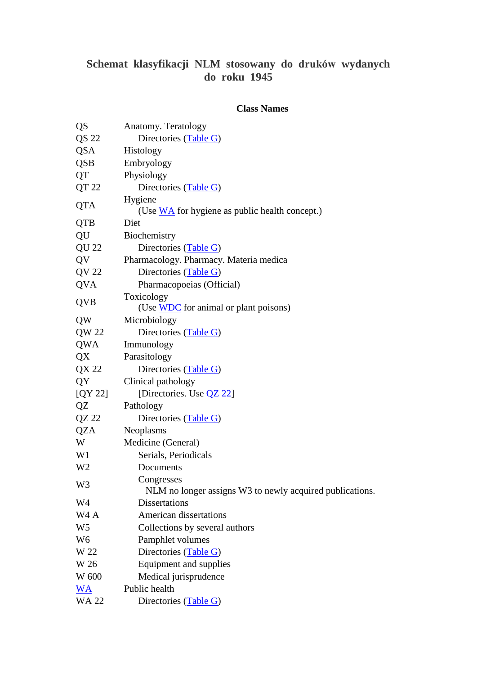## **Schemat klasyfikacji NLM stosowany do druków wydanych do roku 1945**

## **Class Names**

| QS               | Anatomy. Teratology                                                     |
|------------------|-------------------------------------------------------------------------|
| QS 22            | Directories (Table G)                                                   |
| QSA              | Histology                                                               |
| <b>QSB</b>       | Embryology                                                              |
| QT               | Physiology                                                              |
| QT 22            | Directories (Table G)                                                   |
| <b>QTA</b>       | Hygiene<br>(Use $\underline{WA}$ for hygiene as public health concept.) |
| <b>QTB</b>       | Diet                                                                    |
| QU               | Biochemistry                                                            |
| <b>QU22</b>      | Directories (Table G)                                                   |
| QV               | Pharmacology. Pharmacy. Materia medica                                  |
| QV 22            | Directories (Table G)                                                   |
| <b>QVA</b>       | Pharmacopoeias (Official)                                               |
| <b>QVB</b>       | Toxicology<br>(Use WDC for animal or plant poisons)                     |
| QW               | Microbiology                                                            |
| QW 22            | Directories (Table G)                                                   |
| QWA              | Immunology                                                              |
| QX               | Parasitology                                                            |
| QX 22            | Directories (Table G)                                                   |
| QY               | Clinical pathology                                                      |
| [QY 22]          | [Directories. Use <b>QZ 22</b> ]                                        |
| QZ               | Pathology                                                               |
| $QZ$ 22          | Directories (Table G)                                                   |
| <b>QZA</b>       | Neoplasms                                                               |
| W                | Medicine (General)                                                      |
| W <sub>1</sub>   | Serials, Periodicals                                                    |
| W <sub>2</sub>   | Documents                                                               |
| W3               | Congresses<br>NLM no longer assigns W3 to newly acquired publications.  |
| W4               | <b>Dissertations</b>                                                    |
| W <sub>4</sub> A | American dissertations                                                  |
| W <sub>5</sub>   | Collections by several authors                                          |
| W <sub>6</sub>   | Pamphlet volumes                                                        |
| W 22             | Directories (Table G)                                                   |
| W 26             | Equipment and supplies                                                  |
| W 600            | Medical jurisprudence                                                   |
| <u>WA</u>        | Public health                                                           |
| <b>WA 22</b>     | Directories (Table G)                                                   |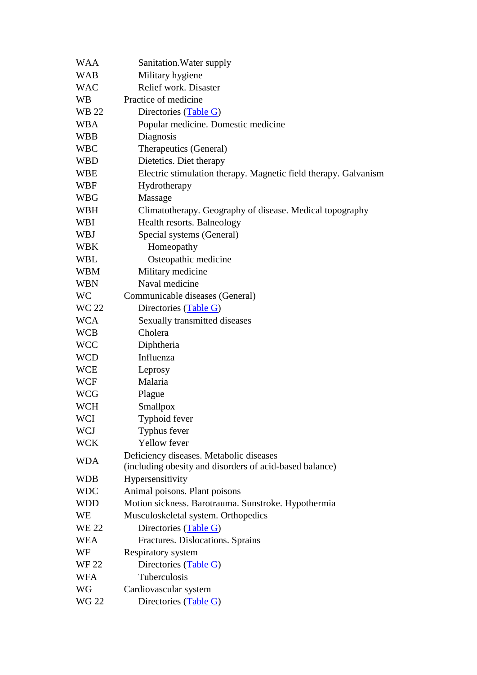| <b>WAA</b>   | Sanitation. Water supply                                        |
|--------------|-----------------------------------------------------------------|
| <b>WAB</b>   | Military hygiene                                                |
| <b>WAC</b>   | Relief work. Disaster                                           |
| <b>WB</b>    | Practice of medicine                                            |
| WB 22        | Directories (Table G)                                           |
| <b>WBA</b>   | Popular medicine. Domestic medicine                             |
| <b>WBB</b>   | Diagnosis                                                       |
| <b>WBC</b>   | Therapeutics (General)                                          |
| <b>WBD</b>   | Dietetics. Diet therapy                                         |
| WBE          | Electric stimulation therapy. Magnetic field therapy. Galvanism |
| WBF          | Hydrotherapy                                                    |
| WBG          | Massage                                                         |
| WBH          | Climatotherapy. Geography of disease. Medical topography        |
| WBI          | Health resorts. Balneology                                      |
| <b>WBJ</b>   | Special systems (General)                                       |
| <b>WBK</b>   | Homeopathy                                                      |
| WBL          | Osteopathic medicine                                            |
| <b>WBM</b>   | Military medicine                                               |
| <b>WBN</b>   | Naval medicine                                                  |
| <b>WC</b>    | Communicable diseases (General)                                 |
| <b>WC 22</b> | Directories (Table G)                                           |
| <b>WCA</b>   | Sexually transmitted diseases                                   |
| <b>WCB</b>   | Cholera                                                         |
| <b>WCC</b>   | Diphtheria                                                      |
| <b>WCD</b>   | Influenza                                                       |
| WCE          | Leprosy                                                         |
| <b>WCF</b>   | Malaria                                                         |
| <b>WCG</b>   | Plague                                                          |
| <b>WCH</b>   | Smallpox                                                        |
| WCI          | Typhoid fever                                                   |
| <b>WCJ</b>   | Typhus fever                                                    |
| <b>WCK</b>   | Yellow fever                                                    |
| <b>WDA</b>   | Deficiency diseases. Metabolic diseases                         |
|              | (including obesity and disorders of acid-based balance)         |
| <b>WDB</b>   | Hypersensitivity                                                |
| <b>WDC</b>   | Animal poisons. Plant poisons                                   |
| WDD          | Motion sickness. Barotrauma. Sunstroke. Hypothermia             |
| WE           | Musculoskeletal system. Orthopedics                             |
| <b>WE 22</b> | Directories (Table G)                                           |
| <b>WEA</b>   | Fractures. Dislocations. Sprains                                |
| WF           | Respiratory system                                              |
| <b>WF22</b>  | Directories (Table G)                                           |
| <b>WFA</b>   | Tuberculosis                                                    |
| WG           | Cardiovascular system                                           |
| <b>WG 22</b> | Directories (Table G)                                           |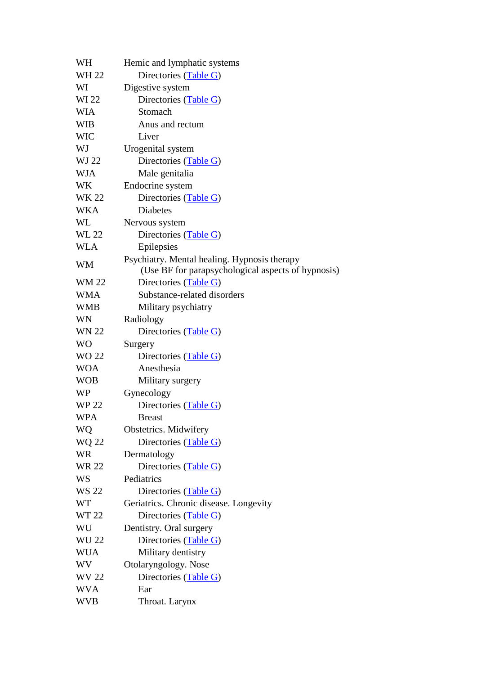| WH           | Hemic and lymphatic systems                                                                        |
|--------------|----------------------------------------------------------------------------------------------------|
| WH 22        | Directories (Table G)                                                                              |
| WI           | Digestive system                                                                                   |
| WI 22        | Directories (Table G)                                                                              |
| WIA          | Stomach                                                                                            |
| <b>WIB</b>   | Anus and rectum                                                                                    |
| <b>WIC</b>   | Liver                                                                                              |
| WJ           | Urogenital system                                                                                  |
| WJ 22        | Directories (Table G)                                                                              |
| <b>WJA</b>   | Male genitalia                                                                                     |
| WK           | Endocrine system                                                                                   |
| WK 22        | Directories (Table G)                                                                              |
| WKA          | <b>Diabetes</b>                                                                                    |
| WL           | Nervous system                                                                                     |
| <b>WL 22</b> | Directories (Table G)                                                                              |
| <b>WLA</b>   | Epilepsies                                                                                         |
| <b>WM</b>    | Psychiatry. Mental healing. Hypnosis therapy<br>(Use BF for parapsychological aspects of hypnosis) |
| <b>WM22</b>  | Directories (Table G)                                                                              |
| <b>WMA</b>   | Substance-related disorders                                                                        |
| <b>WMB</b>   | Military psychiatry                                                                                |
| WN           | Radiology                                                                                          |
| <b>WN 22</b> | Directories (Table G)                                                                              |
| WO           | Surgery                                                                                            |
| WO 22        | Directories (Table G)                                                                              |
| <b>WOA</b>   | Anesthesia                                                                                         |
| <b>WOB</b>   | Military surgery                                                                                   |
| WP           | Gynecology                                                                                         |
| WP 22        | Directories (Table G)                                                                              |
| <b>WPA</b>   | <b>Breast</b>                                                                                      |
| WQ           | Obstetrics. Midwifery                                                                              |
| <b>WQ 22</b> | Directories (Table G)                                                                              |
| <b>WR</b>    | Dermatology                                                                                        |
| <b>WR 22</b> | Directories (Table G)                                                                              |
| <b>WS</b>    | Pediatrics                                                                                         |
| WS 22        | Directories (Table G)                                                                              |
| WT           | Geriatrics. Chronic disease. Longevity                                                             |
| WT 22        | Directories (Table G)                                                                              |
| WU           | Dentistry. Oral surgery                                                                            |
| <b>WU 22</b> | Directories (Table G)                                                                              |
| <b>WUA</b>   | Military dentistry                                                                                 |
| WV           | Otolaryngology. Nose                                                                               |
| WV 22        | Directories (Table G)                                                                              |
| <b>WVA</b>   | Ear                                                                                                |
| WVB          | Throat. Larynx                                                                                     |